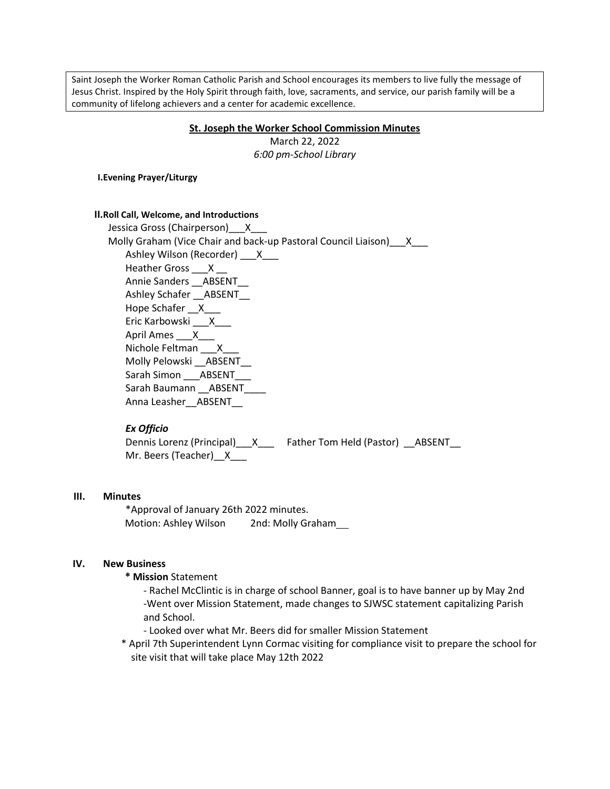Saint Joseph the Worker Roman Catholic Parish and School encourages its members to live fully the message of Jesus Christ. Inspired by the Holy Spirit through faith, love, sacraments, and service, our parish family will be a community of lifelong achievers and a center for academic excellence.

#### **St. Joseph the Worker School Commission Minutes**

March 22, 2022 *6:00 pm-School Library*

**I.Evening Prayer/Liturgy**

#### **II.Roll Call, Welcome, and Introductions**

Jessica Gross (Chairperson) X Molly Graham (Vice Chair and back-up Pastoral Council Liaison) X Ashley Wilson (Recorder) \_\_\_X\_\_\_ Heather Gross \_\_\_X \_\_ Annie Sanders \_\_\_ ABSENT Ashley Schafer \_\_ABSENT\_\_ Hope Schafer X Eric Karbowski \_\_\_X\_\_\_ April Ames X Nichole Feltman \_\_\_ X\_ Molly Pelowski \_\_ABSENT\_\_ Sarah Simon \_\_\_ABSENT\_\_\_ Sarah Baumann \_\_\_ ABSENT Anna Leasher ABSENT

## *Ex Officio*

Dennis Lorenz (Principal)\_\_X\_\_\_ Father Tom Held (Pastor) \_\_ABSENT\_\_ Mr. Beers (Teacher) X

#### **III. Minutes**

\*Approval of January 26th 2022 minutes. Motion: Ashley Wilson 2nd: Molly Graham

#### **IV. New Business**

**\* Mission** Statement

- Rachel McClintic is in charge of school Banner, goal is to have banner up by May 2nd -Went over Mission Statement, made changes to SJWSC statement capitalizing Parish and School.

- Looked over what Mr. Beers did for smaller Mission Statement
- \* April 7th Superintendent Lynn Cormac visiting for compliance visit to prepare the school for site visit that will take place May 12th 2022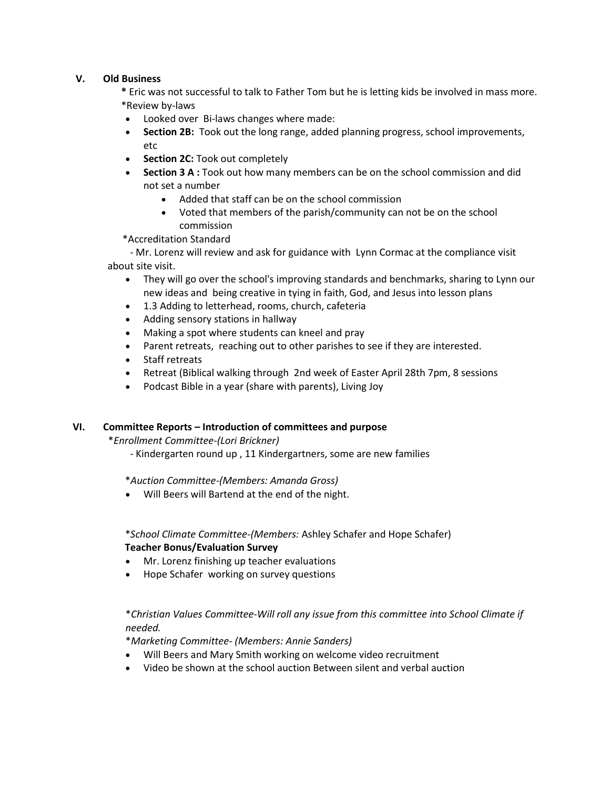### **V. Old Business**

**\*** Eric was not successful to talk to Father Tom but he is letting kids be involved in mass more. \*Review by-laws

- Looked over Bi-laws changes where made:
- **Section 2B:** Took out the long range, added planning progress, school improvements, etc
- **Section 2C: Took out completely**
- **Section 3 A :** Took out how many members can be on the school commission and did not set a number
	- Added that staff can be on the school commission
	- Voted that members of the parish/community can not be on the school commission

\*Accreditation Standard

- Mr. Lorenz will review and ask for guidance with Lynn Cormac at the compliance visit about site visit.

- They will go over the school's improving standards and benchmarks, sharing to Lynn our new ideas and being creative in tying in faith, God, and Jesus into lesson plans
- 1.3 Adding to letterhead, rooms, church, cafeteria
- Adding sensory stations in hallway
- Making a spot where students can kneel and pray
- Parent retreats, reaching out to other parishes to see if they are interested.
- Staff retreats
- Retreat (Biblical walking through 2nd week of Easter April 28th 7pm, 8 sessions
- Podcast Bible in a year (share with parents), Living Joy

### **VI. Committee Reports – Introduction of committees and purpose**

\**Enrollment Committee-(Lori Brickner)*

- Kindergarten round up , 11 Kindergartners, some are new families

\**Auction Committee-(Members: Amanda Gross)*

Will Beers will Bartend at the end of the night.

\**School Climate Committee-(Members:* Ashley Schafer and Hope Schafer) **Teacher Bonus/Evaluation Survey**

- Mr. Lorenz finishing up teacher evaluations
- Hope Schafer working on survey questions

# \**Christian Values Committee*-*Will roll any issue from this committee into School Climate if needed.*

\**Marketing Committee- (Members: Annie Sanders)*

- Will Beers and Mary Smith working on welcome video recruitment
- Video be shown at the school auction Between silent and verbal auction